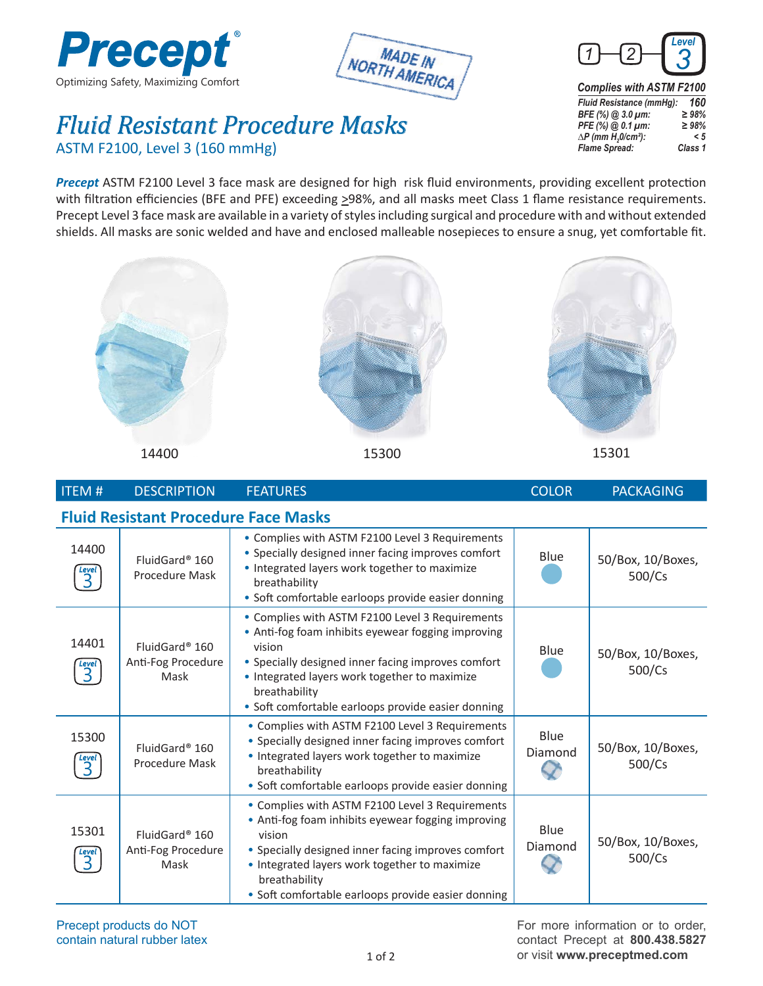





*Fluid Resistant Procedure Masks* ASTM F2100, Level 3 (160 mmHg)

*Fluid Resistance (mmHg): 160 BFE (%)* @ 3.0 *µm:* ≥ 98%<br>*PFE (%)* @ 0.1 *µm:* ≥ 98% *PFE (%)* @ 0.1  $\mu$ m: *∆P* (*mm H<sub>2</sub>0/cm<sup>2</sup>): < 5*<br>*Flame Spread:* Class 1 *Flame Spread:* 

*Precept* ASTM F2100 Level 3 face mask are designed for high risk fluid environments, providing excellent protection with filtration efficiencies (BFE and PFE) exceeding >98%, and all masks meet Class 1 flame resistance requirements. Precept Level 3 face mask are available in a variety of styles including surgical and procedure with and without extended shields. All masks are sonic welded and have and enclosed malleable nosepieces to ensure a snug, yet comfortable fit.



14400 15300

15301

| <b>ITEM#</b>                                                | <b>DESCRIPTION</b>                                       | <b>FEATURES</b>                                                                                                                                                                                                                                                                               | <b>COLOR</b>    | <b>PACKAGING</b>            |  |  |  |
|-------------------------------------------------------------|----------------------------------------------------------|-----------------------------------------------------------------------------------------------------------------------------------------------------------------------------------------------------------------------------------------------------------------------------------------------|-----------------|-----------------------------|--|--|--|
| <b>Fluid Resistant Procedure Face Masks</b>                 |                                                          |                                                                                                                                                                                                                                                                                               |                 |                             |  |  |  |
| 14400<br>$\begin{array}{c}\n\text{Level} \\ 3\n\end{array}$ | FluidGard® 160<br>Procedure Mask                         | • Complies with ASTM F2100 Level 3 Requirements<br>• Specially designed inner facing improves comfort<br>• Integrated layers work together to maximize<br>breathability<br>• Soft comfortable earloops provide easier donning                                                                 | Blue            | 50/Box, 10/Boxes,<br>500/Cs |  |  |  |
| 14401<br><b>Level</b><br>$\overline{3}$                     | FluidGard <sup>®</sup> 160<br>Anti-Fog Procedure<br>Mask | • Complies with ASTM F2100 Level 3 Requirements<br>• Anti-fog foam inhibits eyewear fogging improving<br>vision<br>• Specially designed inner facing improves comfort<br>• Integrated layers work together to maximize<br>breathability<br>• Soft comfortable earloops provide easier donning | Blue            | 50/Box, 10/Boxes,<br>500/Cs |  |  |  |
| 15300<br>$\overline{3}$                                     | FluidGard <sup>®</sup> 160<br>Procedure Mask             | • Complies with ASTM F2100 Level 3 Requirements<br>• Specially designed inner facing improves comfort<br>• Integrated layers work together to maximize<br>breathability<br>• Soft comfortable earloops provide easier donning                                                                 | Blue<br>Diamond | 50/Box, 10/Boxes,<br>500/Cs |  |  |  |
| 15301<br>Level                                              | FluidGard <sup>®</sup> 160<br>Anti-Fog Procedure<br>Mask | • Complies with ASTM F2100 Level 3 Requirements<br>• Anti-fog foam inhibits eyewear fogging improving<br>vision<br>• Specially designed inner facing improves comfort<br>• Integrated layers work together to maximize<br>breathability<br>· Soft comfortable earloops provide easier donning | Blue<br>Diamond | 50/Box, 10/Boxes,<br>500/Cs |  |  |  |